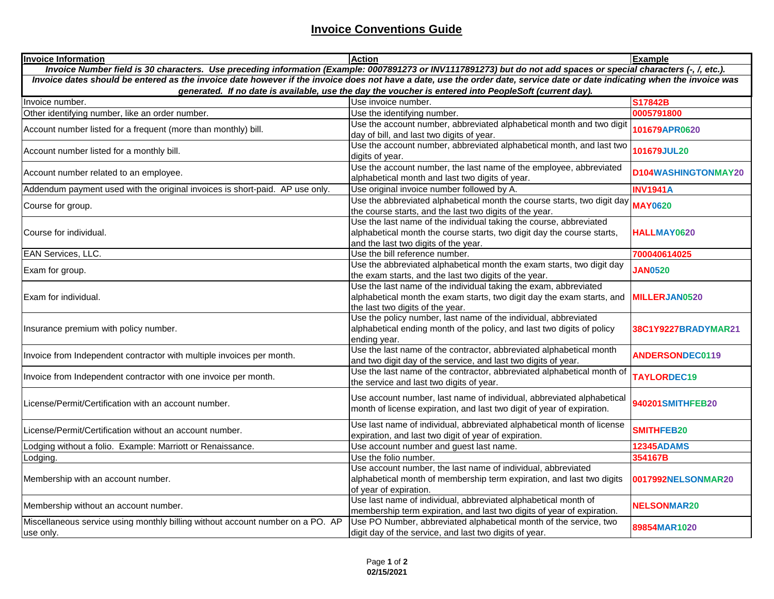## **Invoice Conventions Guide**

| <b>Invoice Information</b>                                                                                                                                                | <b>Action</b>                                                                          | Example                |  |
|---------------------------------------------------------------------------------------------------------------------------------------------------------------------------|----------------------------------------------------------------------------------------|------------------------|--|
| Invoice Number field is 30 characters. Use preceding information (Example: 0007891273 or INV1117891273) but do not add spaces or special characters (-, /, etc.).         |                                                                                        |                        |  |
| Invoice dates should be entered as the invoice date however if the invoice does not have a date, use the order date, service date or date indicating when the invoice was |                                                                                        |                        |  |
| generated. If no date is available, use the day the voucher is entered into PeopleSoft (current day).                                                                     |                                                                                        |                        |  |
| Invoice number.                                                                                                                                                           | Use invoice number.                                                                    | S17842B                |  |
| Other identifying number, like an order number.                                                                                                                           | Use the identifying number.                                                            | 0005791800             |  |
| Account number listed for a frequent (more than monthly) bill.                                                                                                            | Use the account number, abbreviated alphabetical month and two digit                   | 101679APR0620          |  |
|                                                                                                                                                                           | day of bill, and last two digits of year.                                              |                        |  |
| Account number listed for a monthly bill.                                                                                                                                 | Use the account number, abbreviated alphabetical month, and last two                   | 101679JUL20            |  |
|                                                                                                                                                                           | digits of year.                                                                        |                        |  |
| Account number related to an employee.                                                                                                                                    | Use the account number, the last name of the employee, abbreviated                     | D104WASHINGTONMAY20    |  |
|                                                                                                                                                                           | alphabetical month and last two digits of year.                                        |                        |  |
| Addendum payment used with the original invoices is short-paid. AP use only.                                                                                              | Use original invoice number followed by A.                                             | <b>INV1941A</b>        |  |
| Course for group.                                                                                                                                                         | Use the abbreviated alphabetical month the course starts, two digit day                | <b>MAY0620</b>         |  |
|                                                                                                                                                                           | the course starts, and the last two digits of the year.                                |                        |  |
| Course for individual.                                                                                                                                                    | Use the last name of the individual taking the course, abbreviated                     | HALLMAY0620            |  |
|                                                                                                                                                                           | alphabetical month the course starts, two digit day the course starts,                 |                        |  |
|                                                                                                                                                                           | and the last two digits of the year.                                                   |                        |  |
| EAN Services, LLC.                                                                                                                                                        | Use the bill reference number.                                                         | 700040614025           |  |
| Exam for group.                                                                                                                                                           | Use the abbreviated alphabetical month the exam starts, two digit day                  | <b>JAN0520</b>         |  |
|                                                                                                                                                                           | the exam starts, and the last two digits of the year.                                  |                        |  |
|                                                                                                                                                                           | Use the last name of the individual taking the exam, abbreviated                       | <b>MILLERJAN0520</b>   |  |
| IExam for individual.                                                                                                                                                     | alphabetical month the exam starts, two digit day the exam starts, and                 |                        |  |
|                                                                                                                                                                           | the last two digits of the year.                                                       |                        |  |
| Insurance premium with policy number.                                                                                                                                     | Use the policy number, last name of the individual, abbreviated                        | 38C1Y9227BRADYMAR21    |  |
|                                                                                                                                                                           | alphabetical ending month of the policy, and last two digits of policy<br>ending year. |                        |  |
| Invoice from Independent contractor with multiple invoices per month.                                                                                                     | Use the last name of the contractor, abbreviated alphabetical month                    | <b>ANDERSONDEC0119</b> |  |
|                                                                                                                                                                           | and two digit day of the service, and last two digits of year.                         |                        |  |
|                                                                                                                                                                           | Use the last name of the contractor, abbreviated alphabetical month of                 |                        |  |
| Invoice from Independent contractor with one invoice per month.                                                                                                           | the service and last two digits of year.                                               | TAYLORDEC19            |  |
|                                                                                                                                                                           |                                                                                        |                        |  |
| License/Permit/Certification with an account number.                                                                                                                      | Use account number, last name of individual, abbreviated alphabetical                  | 940201SMITHFEB20       |  |
|                                                                                                                                                                           | month of license expiration, and last two digit of year of expiration.                 |                        |  |
|                                                                                                                                                                           | Use last name of individual, abbreviated alphabetical month of license                 | <b>SMITHFEB20</b>      |  |
| License/Permit/Certification without an account number.                                                                                                                   | expiration, and last two digit of year of expiration.                                  |                        |  |
| Lodging without a folio. Example: Marriott or Renaissance.                                                                                                                | Use account number and guest last name.                                                | <b>12345ADAMS</b>      |  |
| Lodging.                                                                                                                                                                  | Use the folio number.                                                                  | 354167B                |  |
| Membership with an account number.                                                                                                                                        | Use account number, the last name of individual, abbreviated                           | 0017992NELSONMAR20     |  |
|                                                                                                                                                                           | alphabetical month of membership term expiration, and last two digits                  |                        |  |
|                                                                                                                                                                           | of year of expiration.                                                                 |                        |  |
| Membership without an account number.                                                                                                                                     | Use last name of individual, abbreviated alphabetical month of                         | <b>NELSONMAR20</b>     |  |
|                                                                                                                                                                           | membership term expiration, and last two digits of year of expiration.                 |                        |  |
| Miscellaneous service using monthly billing without account number on a PO. AP                                                                                            | Use PO Number, abbreviated alphabetical month of the service, two                      |                        |  |
| use only.                                                                                                                                                                 | digit day of the service, and last two digits of year.                                 | 89854MAR1020           |  |